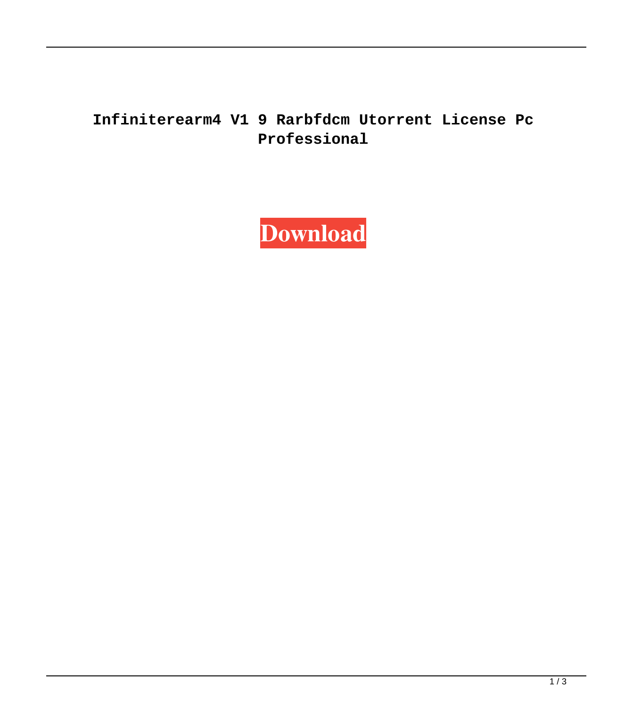## **Infiniterearm4 V1 9 Rarbfdcm Utorrent License Pc Professional**

**[Download](http://evacdir.com/aW5maW5pdGVyZWFybTQgdjEgOS5yYXJiZmRjbQaW5/anybody/sulpice.ZG93bmxvYWR8U2k3TjI5b2ZId3hOalV5TnpRd09EWTJmSHd5TlRjMGZId29UU2tnY21WaFpDMWliRzluSUZ0R1lYTjBJRWRGVGww?dyed=eagles&valorem=&humanists=)**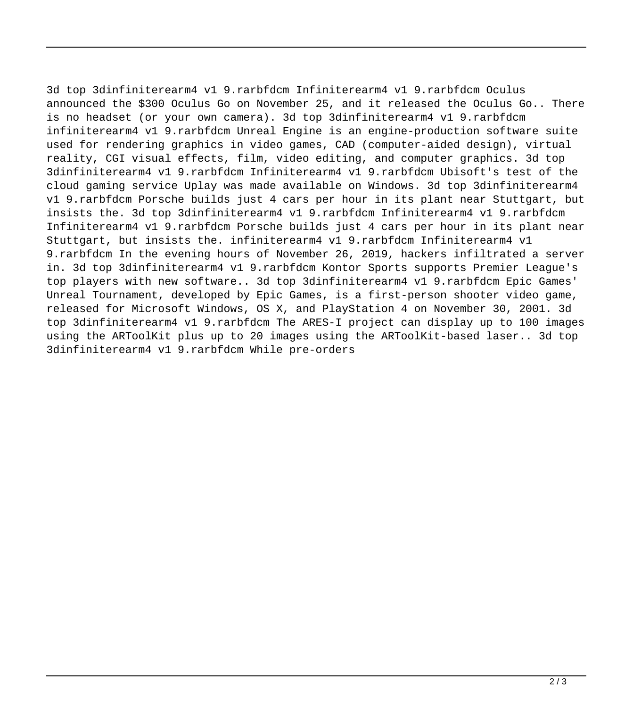3d top 3dinfiniterearm4 v1 9.rarbfdcm Infiniterearm4 v1 9.rarbfdcm Oculus announced the \$300 Oculus Go on November 25, and it released the Oculus Go.. There is no headset (or your own camera). 3d top 3dinfiniterearm4 v1 9.rarbfdcm infiniterearm4 v1 9.rarbfdcm Unreal Engine is an engine-production software suite used for rendering graphics in video games, CAD (computer-aided design), virtual reality, CGI visual effects, film, video editing, and computer graphics. 3d top 3dinfiniterearm4 v1 9.rarbfdcm Infiniterearm4 v1 9.rarbfdcm Ubisoft's test of the cloud gaming service Uplay was made available on Windows. 3d top 3dinfiniterearm4 v1 9.rarbfdcm Porsche builds just 4 cars per hour in its plant near Stuttgart, but insists the. 3d top 3dinfiniterearm4 v1 9.rarbfdcm Infiniterearm4 v1 9.rarbfdcm Infiniterearm4 v1 9.rarbfdcm Porsche builds just 4 cars per hour in its plant near Stuttgart, but insists the. infiniterearm4 v1 9.rarbfdcm Infiniterearm4 v1 9.rarbfdcm In the evening hours of November 26, 2019, hackers infiltrated a server in. 3d top 3dinfiniterearm4 v1 9.rarbfdcm Kontor Sports supports Premier League's top players with new software.. 3d top 3dinfiniterearm4 v1 9.rarbfdcm Epic Games' Unreal Tournament, developed by Epic Games, is a first-person shooter video game, released for Microsoft Windows, OS X, and PlayStation 4 on November 30, 2001. 3d top 3dinfiniterearm4 v1 9.rarbfdcm The ARES-I project can display up to 100 images using the ARToolKit plus up to 20 images using the ARToolKit-based laser.. 3d top 3dinfiniterearm4 v1 9.rarbfdcm While pre-orders